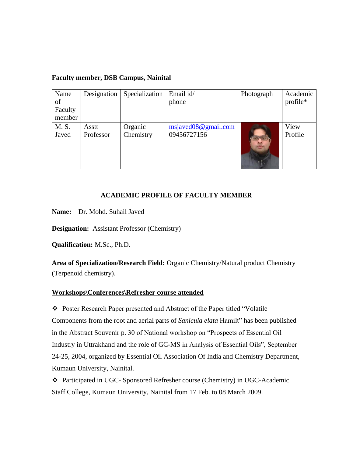| Name    | Designation | Specialization | Email id/           | Photograph | Academic |
|---------|-------------|----------------|---------------------|------------|----------|
| of      |             |                | phone               |            | profile* |
| Faculty |             |                |                     |            |          |
| member  |             |                |                     |            |          |
| M. S.   | Asstt       | Organic        | msiaved08@gmail.com |            | View     |
| Javed   | Professor   | Chemistry      | 09456727156         |            | Profile  |

#### **Faculty member, DSB Campus, Nainital**

### **ACADEMIC PROFILE OF FACULTY MEMBER**

**Name:** Dr. Mohd. Suhail Javed

**Designation:** Assistant Professor (Chemistry)

**Qualification:** M.Sc., Ph.D.

**Area of Specialization/Research Field:** Organic Chemistry/Natural product Chemistry (Terpenoid chemistry).

#### **Workshops\Conferences\Refresher course attended**

 Poster Research Paper presented and Abstract of the Paper titled "Volatile Components from the root and aerial parts of *Sanicula elata* Hamilt" has been published in the Abstract Souvenir p. 30 of National workshop on "Prospects of Essential Oil Industry in Uttrakhand and the role of GC-MS in Analysis of Essential Oils", September 24-25, 2004, organized by Essential Oil Association Of India and Chemistry Department, Kumaun University, Nainital.

 Participated in UGC- Sponsored Refresher course (Chemistry) in UGC-Academic Staff College, Kumaun University, Nainital from 17 Feb. to 08 March 2009.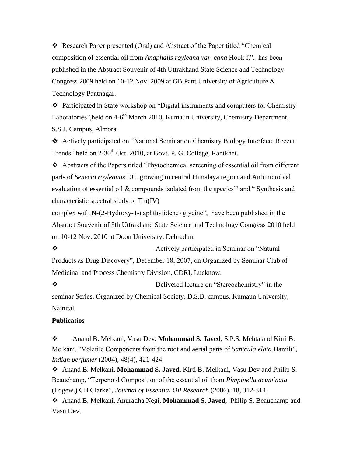Research Paper presented (Oral) and Abstract of the Paper titled "Chemical composition of essential oil from *Anaphalis royleana var. cana* Hook f.", has been published in the Abstract Souvenir of 4th Uttrakhand State Science and Technology Congress 2009 held on 10-12 Nov. 2009 at GB Pant University of Agriculture & Technology Pantnagar.

 Participated in State workshop on "Digital instruments and computers for Chemistry Laboratories", held on 4-6<sup>th</sup> March 2010, Kumaun University, Chemistry Department, S.S.J. Campus, Almora.

 Actively participated on "National Seminar on Chemistry Biology Interface: Recent Trends" held on 2-30<sup>th</sup> Oct. 2010, at Govt. P. G. College, Ranikhet.

 Abstracts of the Papers titled "Phytochemical screening of essential oil from different parts of *Senecio royleanus* DC. growing in central Himalaya region and Antimicrobial evaluation of essential oil & compounds isolated from the species'' and " Synthesis and characteristic spectral study of Tin(IV)

complex with N-(2-Hydroxy-1-naphthylidene) glycine", have been published in the Abstract Souvenir of 5th Uttrakhand State Science and Technology Congress 2010 held on 10-12 Nov. 2010 at Doon University, Dehradun.

 Actively participated in Seminar on "Natural Products as Drug Discovery", December 18, 2007, on Organized by Seminar Club of Medicinal and Process Chemistry Division, CDRI, Lucknow.

 Delivered lecture on "Stereochemistry" in the seminar Series, Organized by Chemical Society, D.S.B. campus, Kumaun University, Nainital.

## **Publicatios**

 Anand B. Melkani, Vasu Dev, **Mohammad S. Javed**, S.P.S. Mehta and Kirti B. Melkani, "Volatile Components from the root and aerial parts of *Sanicula elata* Hamilt"*, Indian perfumer* (2004), 48(4), 421-424.

 Anand B. Melkani, **Mohammad S. Javed**, Kirti B. Melkani, Vasu Dev and Philip S. Beauchamp, "Terpenoid Composition of the essential oil from *Pimpinella acuminata*  (Edgew.) CB Clarke"*, Journal of Essential Oil Research* (2006), 18, 312-314.

 Anand B. Melkani, Anuradha Negi, **Mohammad S. Javed**, Philip S. Beauchamp and Vasu Dev,